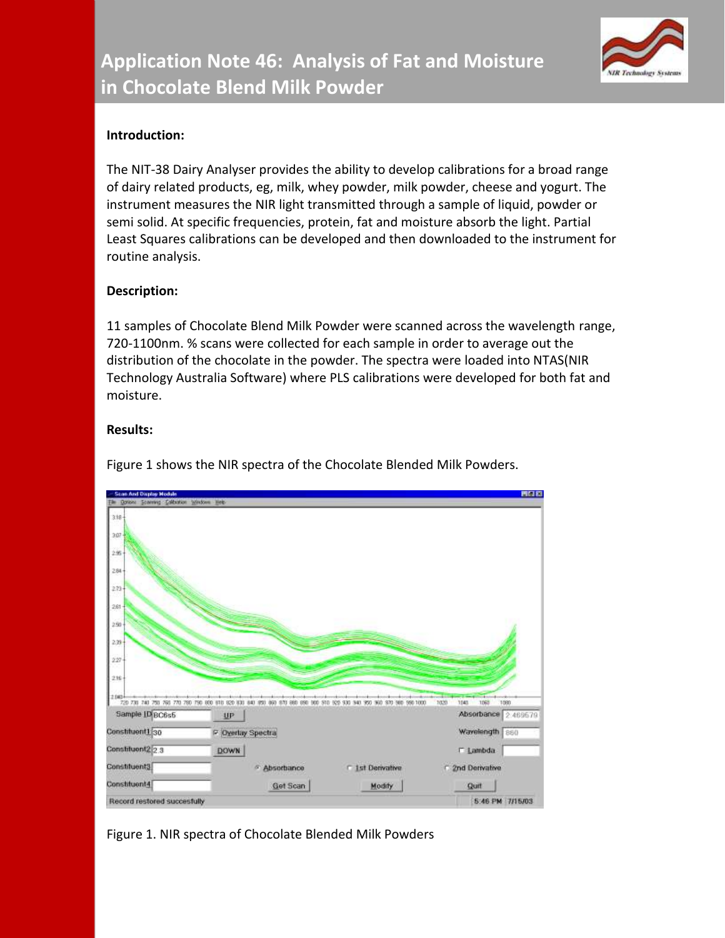

# **Introduction:**

The NIT-38 Dairy Analyser provides the ability to develop calibrations for a broad range of dairy related products, eg, milk, whey powder, milk powder, cheese and yogurt. The instrument measures the NIR light transmitted through a sample of liquid, powder or semi solid. At specific frequencies, protein, fat and moisture absorb the light. Partial Least Squares calibrations can be developed and then downloaded to the instrument for routine analysis.

## **Description:**

11 samples of Chocolate Blend Milk Powder were scanned across the wavelength range, 720-1100nm. % scans were collected for each sample in order to average out the distribution of the chocolate in the powder. The spectra were loaded into NTAS(NIR Technology Australia Software) where PLS calibrations were developed for both fat and moisture.

### **Results:**

Figure 1 shows the NIR spectra of the Chocolate Blended Milk Powders.



Figure 1. NIR spectra of Chocolate Blended Milk Powders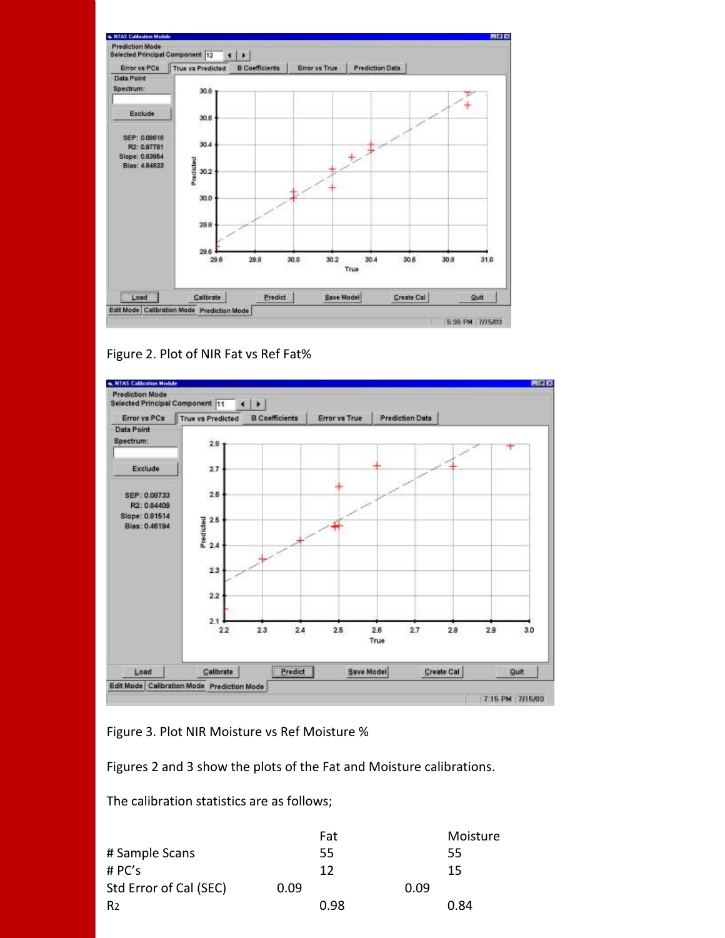





### Figure 3. Plot NIR Moisture vs Ref Moisture %

Figures 2 and 3 show the plots of the Fat and Moisture calibrations.

The calibration statistics are as follows;

|                        | Fat  | Moisture |
|------------------------|------|----------|
| # Sample Scans         | 55   | 55       |
| # PC's                 | 12   | 15       |
| Std Error of Cal (SEC) | 0.09 | 0.09     |
| R2                     | 0.98 | 0.84     |